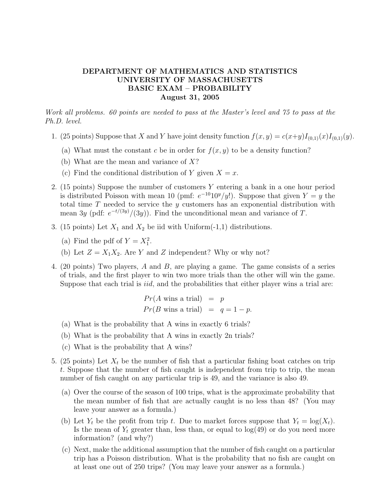## DEPARTMENT OF MATHEMATICS AND STATISTICS UNIVERSITY OF MASSACHUSETTS BASIC EXAM – PROBABILITY August 31, 2005

Work all problems. 60 points are needed to pass at the Master's level and 75 to pass at the Ph.D. level.

- 1. (25 points) Suppose that X and Y have joint density function  $f(x, y) = c(x+y)I_{(0,1)}(x)I_{(0,1)}(y)$ .
	- (a) What must the constant c be in order for  $f(x, y)$  to be a density function?
	- (b) What are the mean and variance of X?
	- (c) Find the conditional distribution of Y given  $X = x$ .
- 2. (15 points) Suppose the number of customers Y entering a bank in a one hour period is distributed Poisson with mean 10 (pmf:  $e^{-10}10^y/y!$ ). Suppose that given  $Y = y$  the total time  $T$  needed to service the  $y$  customers has an exponential distribution with mean 3y (pdf:  $e^{-t/(3y)}/(3y)$ ). Find the unconditional mean and variance of T.
- 3. (15 points) Let  $X_1$  and  $X_2$  be iid with Uniform(-1,1) distributions.
	- (a) Find the pdf of  $Y = X_1^2$ .
	- (b) Let  $Z = X_1 X_2$ . Are Y and Z independent? Why or why not?
- 4. (20 points) Two players, A and B, are playing a game. The game consists of a series of trials, and the first player to win two more trials than the other will win the game. Suppose that each trial is *iid*, and the probabilities that either player wins a trial are:

$$
Pr(A \text{ wins a trial}) = p
$$
  

$$
Pr(B \text{ wins a trial}) = q = 1 - p.
$$

- (a) What is the probability that A wins in exactly 6 trials?
- (b) What is the probability that A wins in exactly 2n trials?
- (c) What is the probability that A wins?
- 5. (25 points) Let  $X_t$  be the number of fish that a particular fishing boat catches on trip t. Suppose that the number of fish caught is independent from trip to trip, the mean number of fish caught on any particular trip is 49, and the variance is also 49.
	- (a) Over the course of the season of 100 trips, what is the approximate probability that the mean number of fish that are actually caught is no less than 48? (You may leave your answer as a formula.)
	- (b) Let  $Y_t$  be the profit from trip t. Due to market forces suppose that  $Y_t = \log(X_t)$ . Is the mean of  $Y_t$  greater than, less than, or equal to  $log(49)$  or do you need more information? (and why?)
	- (c) Next, make the additional assumption that the number of fish caught on a particular trip has a Poisson distribution. What is the probability that no fish are caught on at least one out of 250 trips? (You may leave your answer as a formula.)